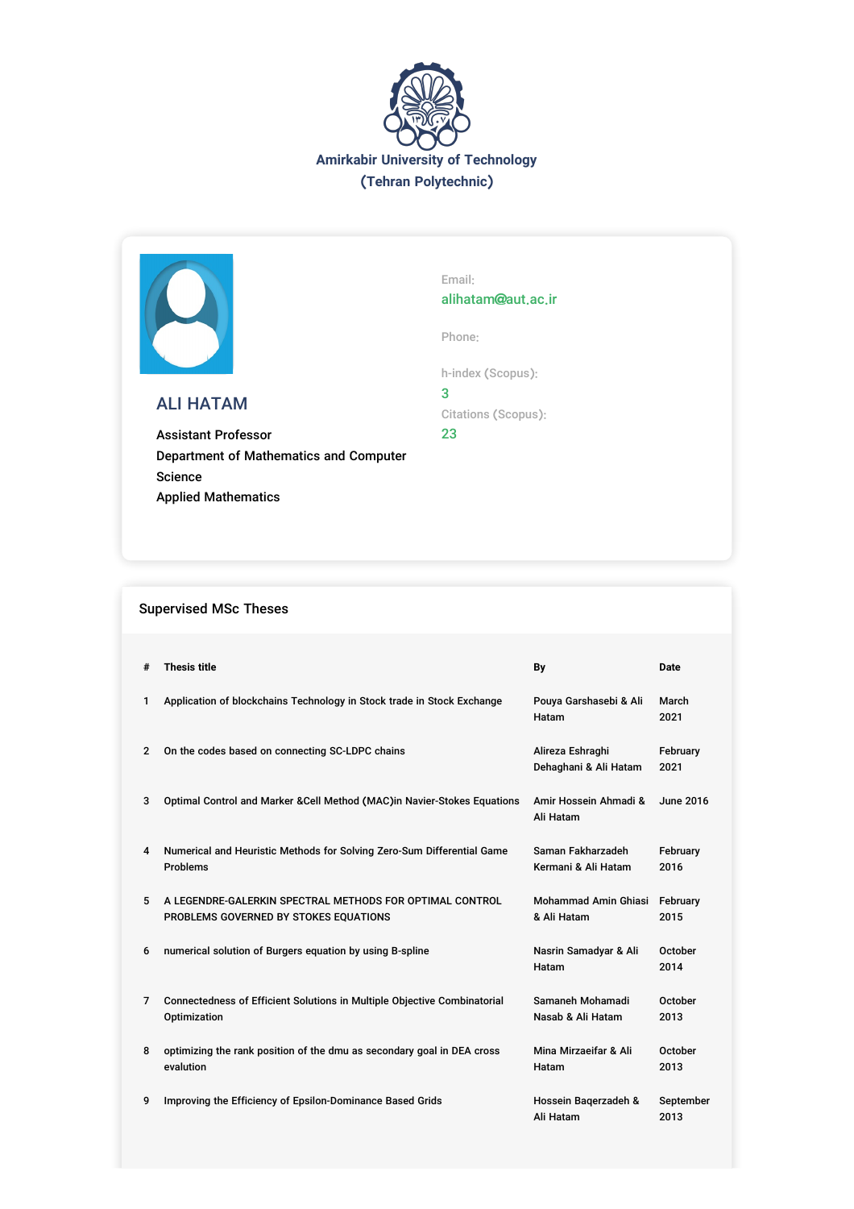



## ALI HATAM

Assistant Professor Department of Mathematics and Computer Science Applied Mathematics

Email: alihatam@aut.ac.ir

Phone:

h-index (Scopus): 3

Citations (Scopus):

23

## Supervised MSc Theses

| #              | <b>Thesis title</b>                                                                               | By                                         | <b>Date</b>       |
|----------------|---------------------------------------------------------------------------------------------------|--------------------------------------------|-------------------|
| 1              | Application of blockchains Technology in Stock trade in Stock Exchange                            | Pouya Garshasebi & Ali<br>Hatam            | March<br>2021     |
| $\overline{2}$ | On the codes based on connecting SC-LDPC chains                                                   | Alireza Eshraghi<br>Dehaghani & Ali Hatam  | February<br>2021  |
| 3              | Optimal Control and Marker & Cell Method (MAC) in Navier-Stokes Equations                         | Amir Hossein Ahmadi &<br>Ali Hatam         | June 2016         |
| 4              | Numerical and Heuristic Methods for Solving Zero-Sum Differential Game<br><b>Problems</b>         | Saman Fakharzadeh<br>Kermani & Ali Hatam   | February<br>2016  |
| 5              | A LEGENDRE-GALERKIN SPECTRAL METHODS FOR OPTIMAL CONTROL<br>PROBLEMS GOVERNED BY STOKES EQUATIONS | <b>Mohammad Amin Ghiasi</b><br>& Ali Hatam | February<br>2015  |
| 6              | numerical solution of Burgers equation by using B-spline                                          | Nasrin Samadyar & Ali<br>Hatam             | October<br>2014   |
| 7              | Connectedness of Efficient Solutions in Multiple Objective Combinatorial<br>Optimization          | Samaneh Mohamadi<br>Nasab & Ali Hatam      | October<br>2013   |
| 8              | optimizing the rank position of the dmu as secondary goal in DEA cross<br>evalution               | Mina Mirzaeifar & Ali<br>Hatam             | October<br>2013   |
| 9              | Improving the Efficiency of Epsilon-Dominance Based Grids                                         | Hossein Bagerzadeh &<br>Ali Hatam          | September<br>2013 |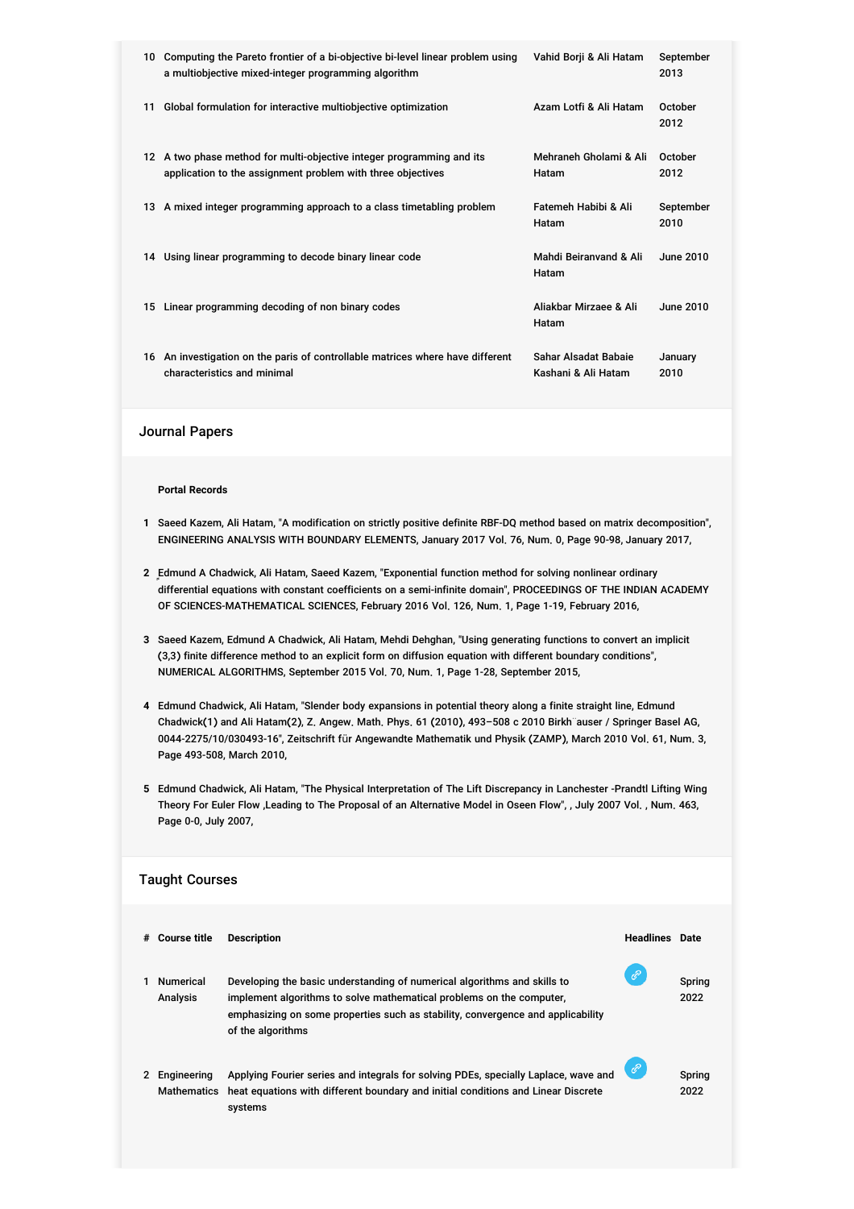| 10 | Computing the Pareto frontier of a bi-objective bi-level linear problem using<br>a multiobjective mixed-integer programming algorithm | Vahid Borji & Ali Hatam                     | September<br>2013 |
|----|---------------------------------------------------------------------------------------------------------------------------------------|---------------------------------------------|-------------------|
| 11 | Global formulation for interactive multiobjective optimization                                                                        | Azam Lotfi & Ali Hatam                      | October<br>2012   |
|    | 12 A two phase method for multi-objective integer programming and its<br>application to the assignment problem with three objectives  | Mehraneh Gholami & Ali<br>Hatam             | October<br>2012   |
|    | 13 A mixed integer programming approach to a class timetabling problem                                                                | Fatemeh Habibi & Ali<br>Hatam               | September<br>2010 |
|    | 14 Using linear programming to decode binary linear code                                                                              | Mahdi Beiranyand & Ali<br>Hatam             | June 2010         |
|    | 15 Linear programming decoding of non binary codes                                                                                    | Aliakhar Mirzaee & Ali<br>Hatam             | <b>June 2010</b>  |
|    | 16 An investigation on the paris of controllable matrices where have different<br>characteristics and minimal                         | Sahar Alsadat Babaie<br>Kashani & Ali Hatam | January<br>2010   |

## Journal Papers

## **Portal Records**

- **1** Saeed Kazem, Ali Hatam, "A modification on strictly positive definite RBF-DQ method based on matrix decomposition", ENGINEERING ANALYSIS WITH BOUNDARY ELEMENTS, January 2017 Vol. 76, Num. 0, Page 90-98, January 2017,
- **2** ٍEdmund A Chadwick, Ali Hatam, Saeed Kazem, "Exponential function method for solving nonlinear ordinary differential equations with constant coefficients on a semi-infinite domain", PROCEEDINGS OF THE INDIAN ACADEMY OF SCIENCES-MATHEMATICAL SCIENCES, February 2016 Vol. 126, Num. 1, Page 1-19, February 2016,
- **3** Saeed Kazem, Edmund A Chadwick, Ali Hatam, Mehdi Dehghan, "Using generating functions to convert an implicit (3,3) finite difference method to an explicit form on diffusion equation with different boundary conditions", NUMERICAL ALGORITHMS, September 2015 Vol. 70, Num. 1, Page 1-28, September 2015,
- **4** Edmund Chadwick, Ali Hatam, "Slender body expansions in potential theory along a finite straight line, Edmund Chadwick(1) and Ali Hatam(2), Z. Angew. Math. Phys. 61 (2010), 493–508 c 2010 Birkh¨auser / Springer Basel AG, 0044-2275/10/030493-16", Zeitschrift für Angewandte Mathematik und Physik (ZAMP), March 2010 Vol. 61, Num. 3, Page 493-508, March 2010,
- **5** Edmund Chadwick, Ali Hatam, "The Physical Interpretation of The Lift Discrepancy in Lanchester -Prandtl Lifting Wing Theory For Euler Flow ,Leading to The Proposal of an Alternative Model in Oseen Flow", , July 2007 Vol. , Num. 463, Page 0-0, July 2007,

| <b>Taught Courses</b> |                            |                                                                                                                                                                                                                                                          |                       |                |  |
|-----------------------|----------------------------|----------------------------------------------------------------------------------------------------------------------------------------------------------------------------------------------------------------------------------------------------------|-----------------------|----------------|--|
| #                     | <b>Course title</b>        | <b>Description</b>                                                                                                                                                                                                                                       | <b>Headlines</b> Date |                |  |
|                       | Numerical<br>Analysis      | Developing the basic understanding of numerical algorithms and skills to<br>implement algorithms to solve mathematical problems on the computer.<br>emphasizing on some properties such as stability, convergence and applicability<br>of the algorithms | ℰ                     | Spring<br>2022 |  |
| 2                     | Engineering<br>Mathematics | Applying Fourier series and integrals for solving PDEs, specially Laplace, wave and<br>heat equations with different boundary and initial conditions and Linear Discrete<br>systems                                                                      | $\mathcal{O}$         | Spring<br>2022 |  |